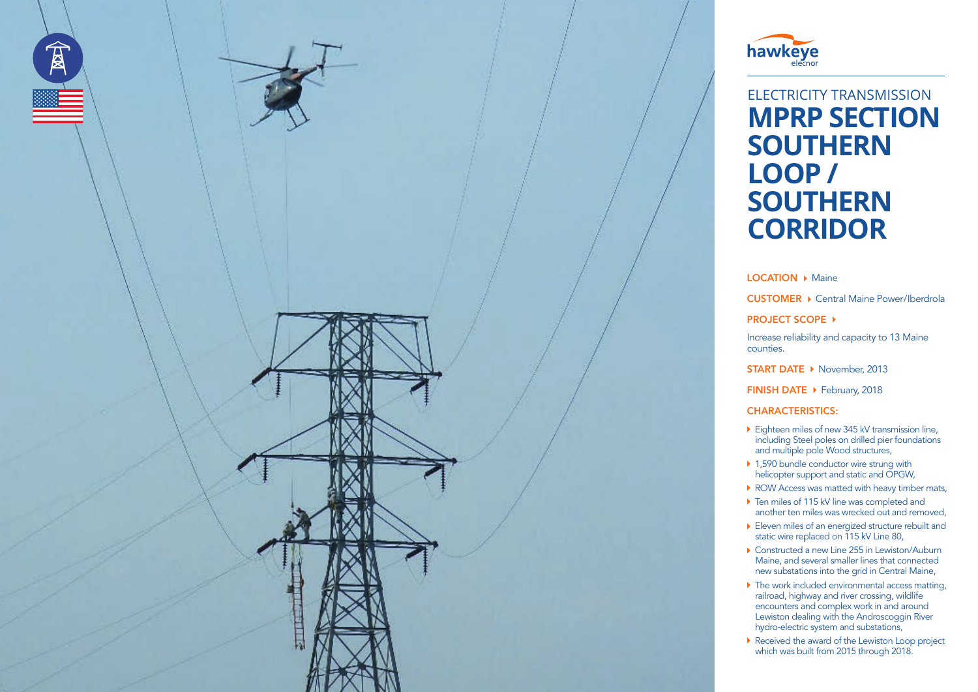



## ELECTRICITY TRANSMISSION **MPRP SECTION SOUTHERN LOOP / SOUTHERN CORRIDOR**

**LOCATION ▶ Maine** 

CUSTOMER ▶ Central Maine Power/Iberdrola

**PROJECT SCOPE ▶** 

Increase reliability and capacity to 13 Maine counties.

**START DATE ▶ November, 2013** 

FINISH DATE ▶ February, 2018

CHARACTERISTICS:

- ▶ Eighteen miles of new 345 kV transmission line, including Steel poles on drilled pier foundations and multiple pole Wood structures,
- ▶ 1,590 bundle conductor wire strung with helicopter support and static and OPGW,
- ROW Access was matted with heavy timber mats,
- ▶ Ten miles of 115 kV line was completed and another ten miles was wrecked out and removed,
- Eleven miles of an energized structure rebuilt and static wire replaced on 115 kV Line 80,
- ▶ Constructed a new Line 255 in Lewiston/Auburn Maine, and several smaller lines that connected new substations into the grid in Central Maine,
- ▶ The work included environmental access matting, railroad, highway and river crossing, wildlife encounters and complex work in and around Lewiston dealing with the Androscoggin River hydro-electric system and substations,
- Received the award of the Lewiston Loop project which was built from 2015 through 2018.